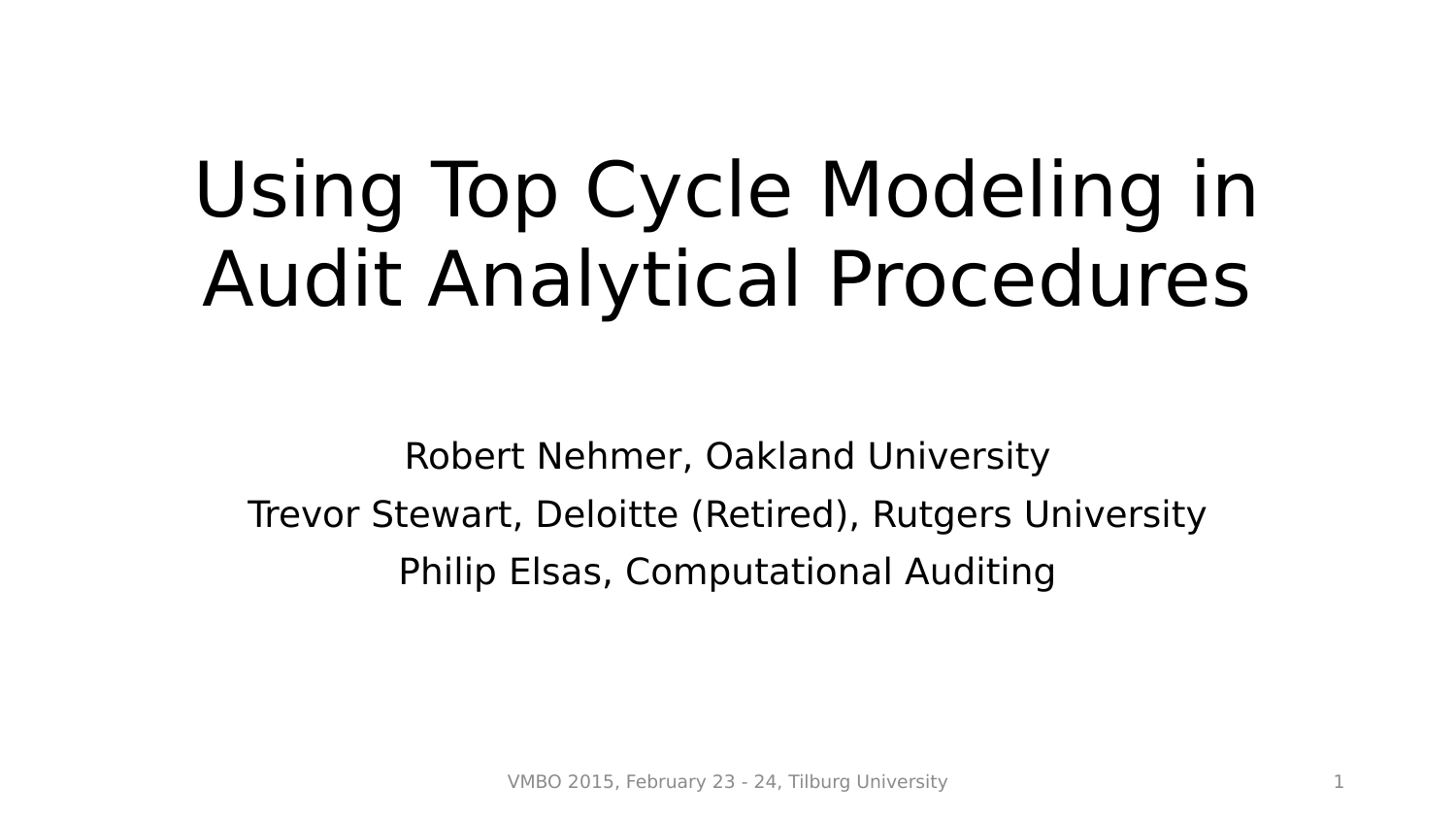# Using Top Cycle Modeling in Audit Analytical Procedures

Robert Nehmer, Oakland University Trevor Stewart, Deloitte (Retired), Rutgers University Philip Elsas, Computational Auditing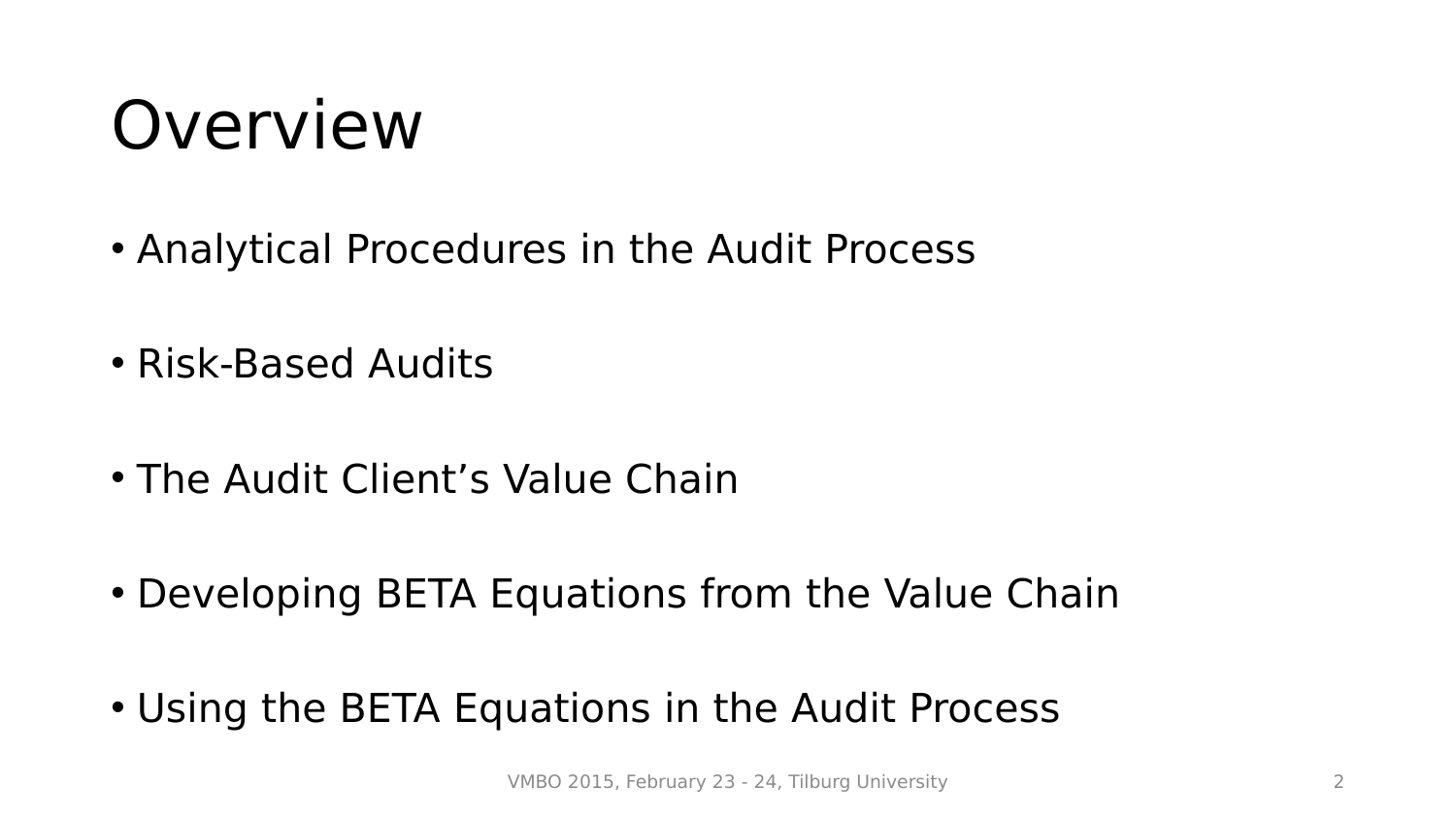# Overview

- Analytical Procedures in the Audit Process
- Risk-Based Audits
- The Audit Client's Value Chain
- Developing BETA Equations from the Value Chain
- Using the BETA Equations in the Audit Process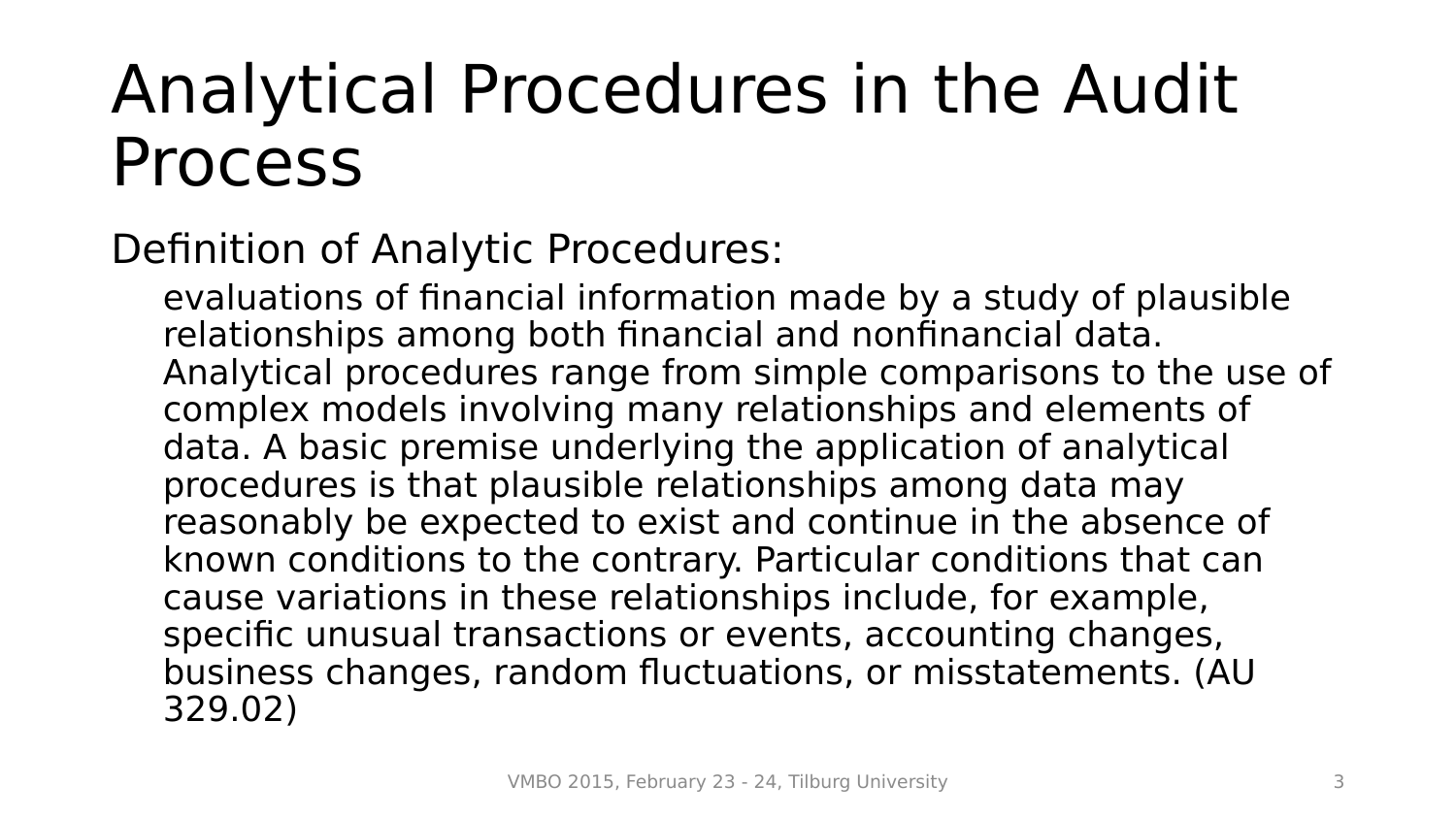### Analytical Procedures in the Audit Process

Definition of Analytic Procedures:

evaluations of financial information made by a study of plausible relationships among both financial and nonfinancial data. Analytical procedures range from simple comparisons to the use of complex models involving many relationships and elements of data. A basic premise underlying the application of analytical procedures is that plausible relationships among data may reasonably be expected to exist and continue in the absence of known conditions to the contrary. Particular conditions that can cause variations in these relationships include, for example, specific unusual transactions or events, accounting changes, business changes, random fluctuations, or misstatements. (AU 329.02)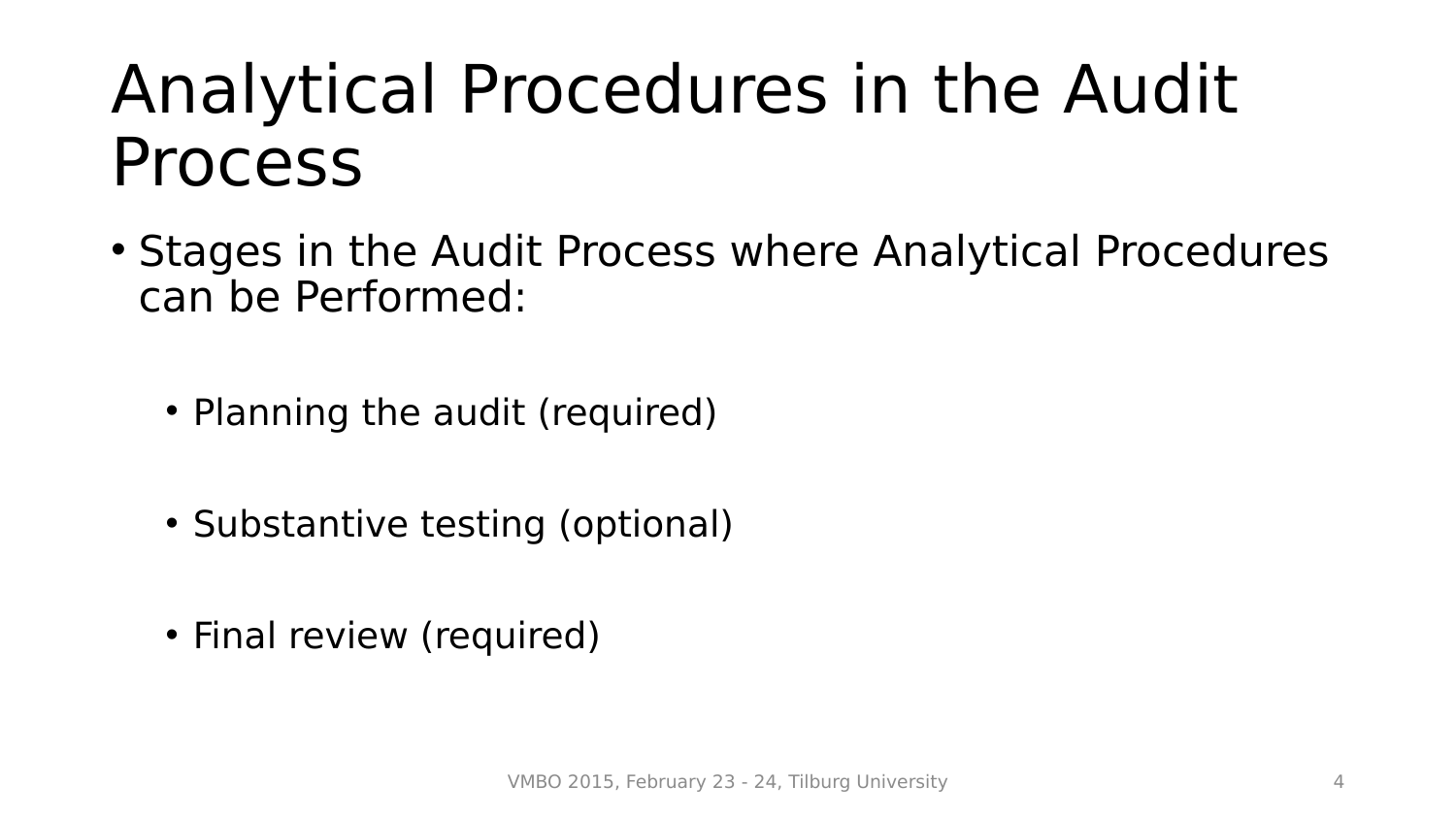### Analytical Procedures in the Audit Process

- Stages in the Audit Process where Analytical Procedures can be Performed:
	- Planning the audit (required)
	- Substantive testing (optional)
	- Final review (required)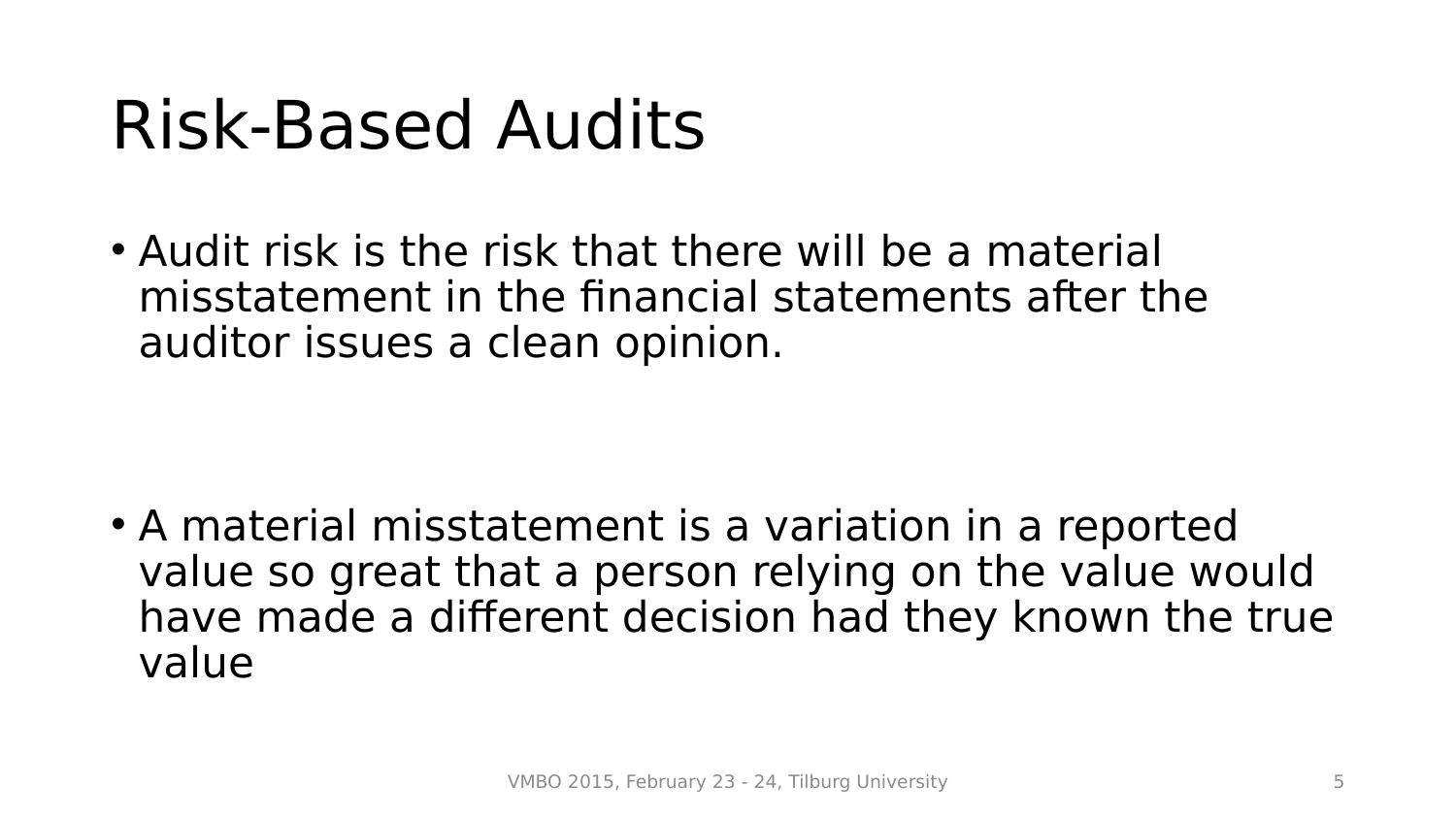## Risk-Based Audits

• Audit risk is the risk that there will be a material misstatement in the financial statements after the auditor issues a clean opinion.

• A material misstatement is a variation in a reported value so great that a person relying on the value would have made a different decision had they known the true value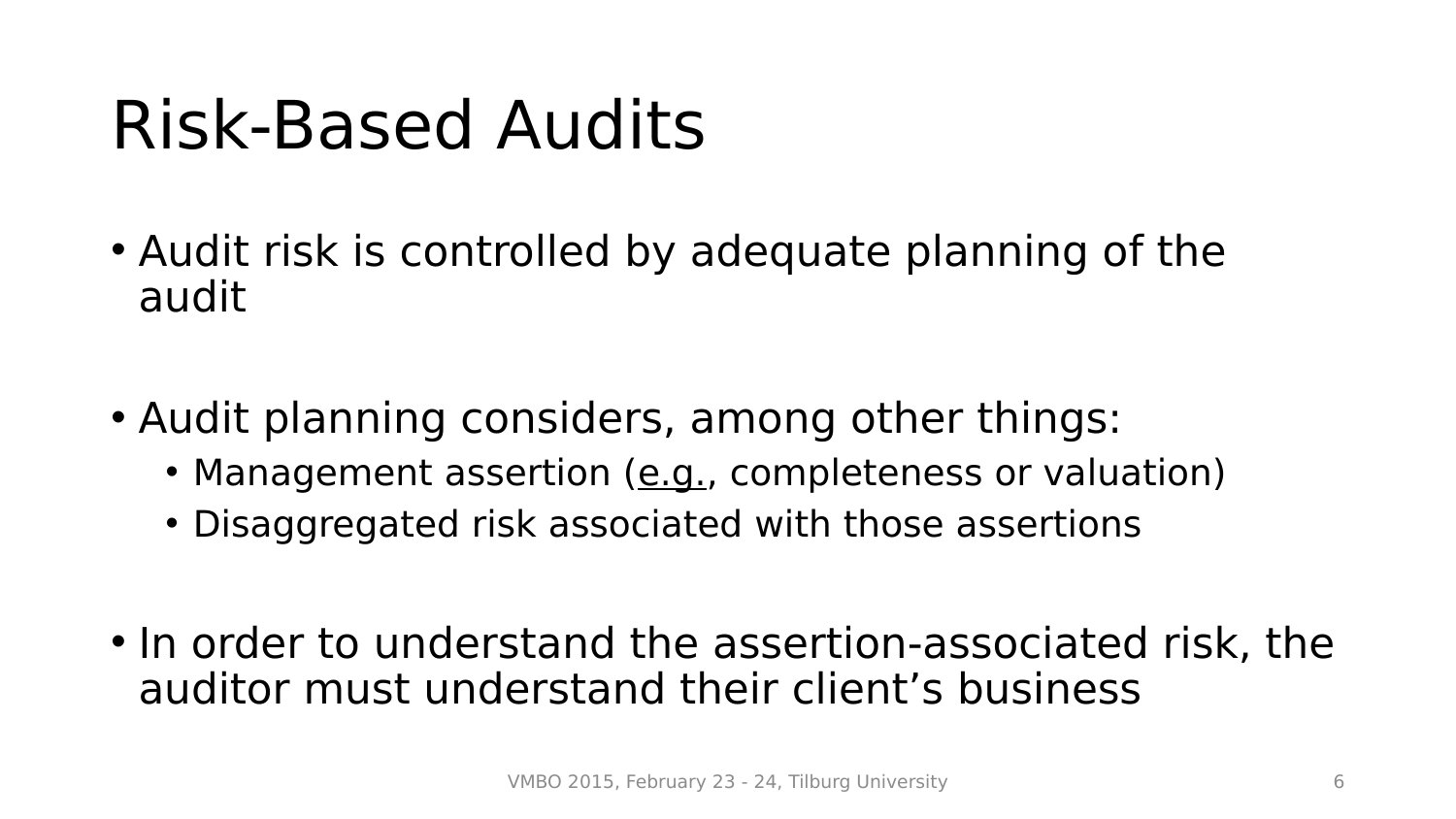# Risk-Based Audits

- Audit risk is controlled by adequate planning of the audit
- Audit planning considers, among other things:
	- Management assertion (e.g., completeness or valuation)
	- Disaggregated risk associated with those assertions
- In order to understand the assertion-associated risk, the auditor must understand their client's business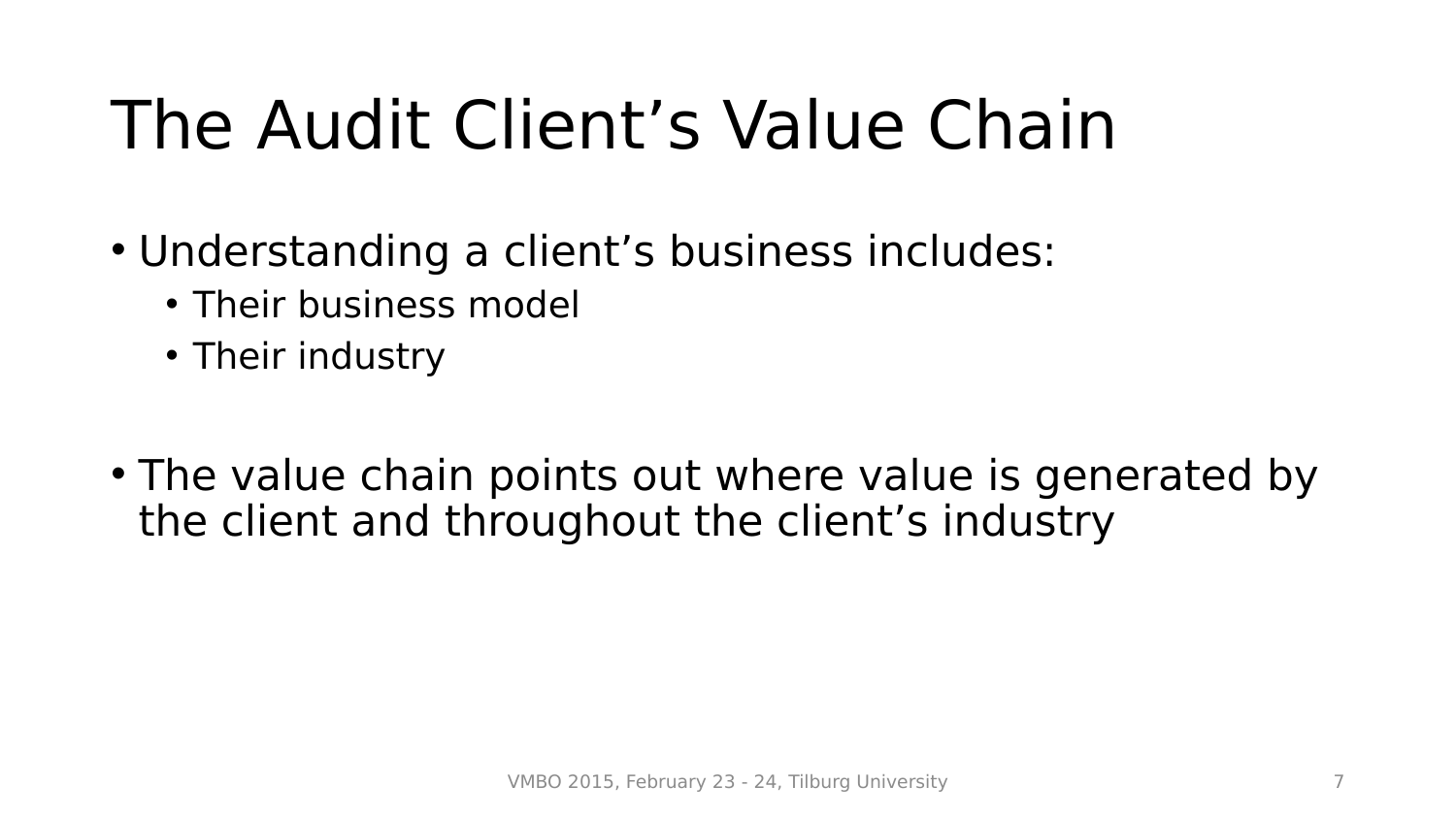- Understanding a client's business includes:
	- Their business model
	- Their industry
- The value chain points out where value is generated by the client and throughout the client's industry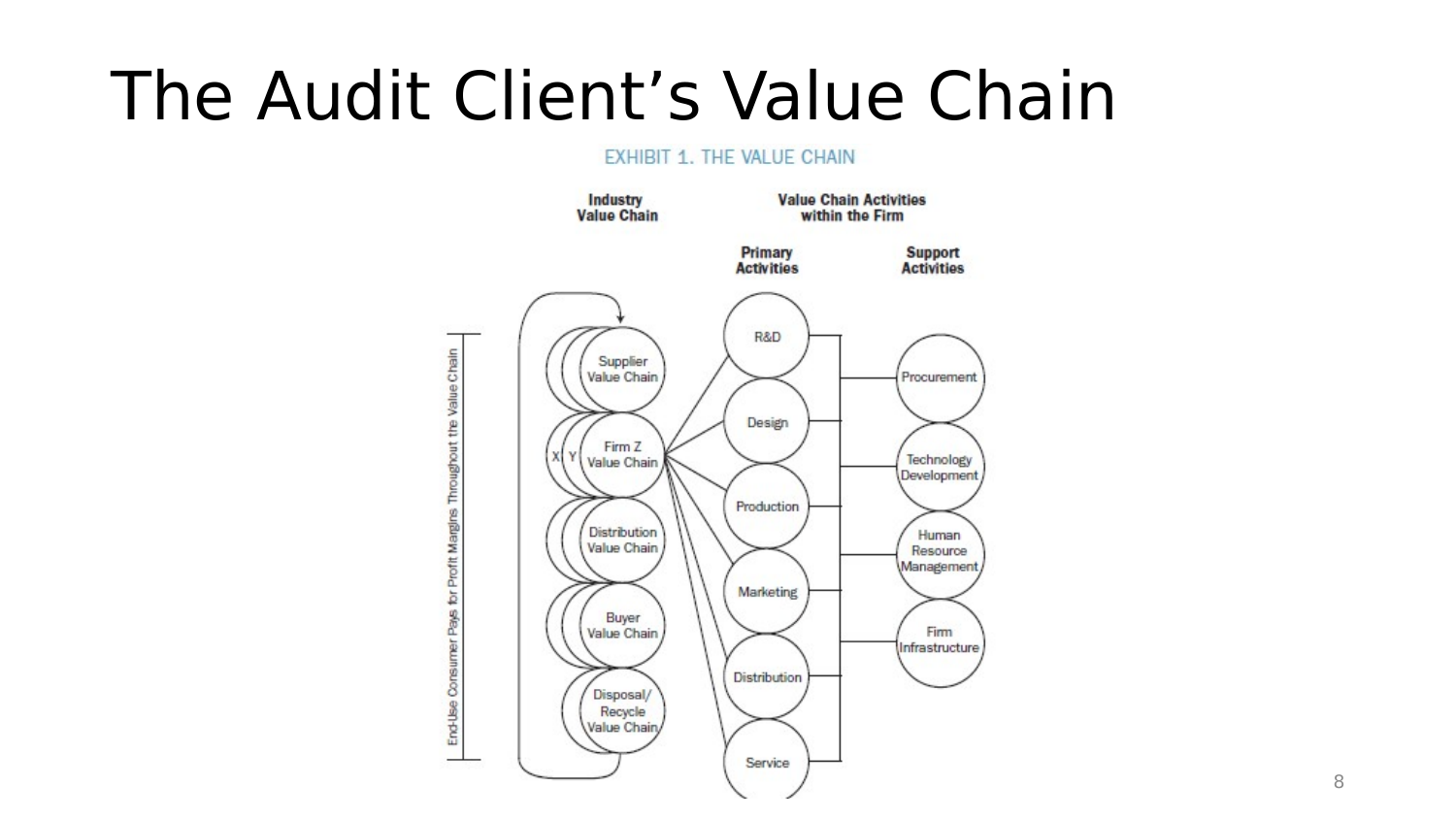#### EXHIBIT 1. THE VALUE CHAIN

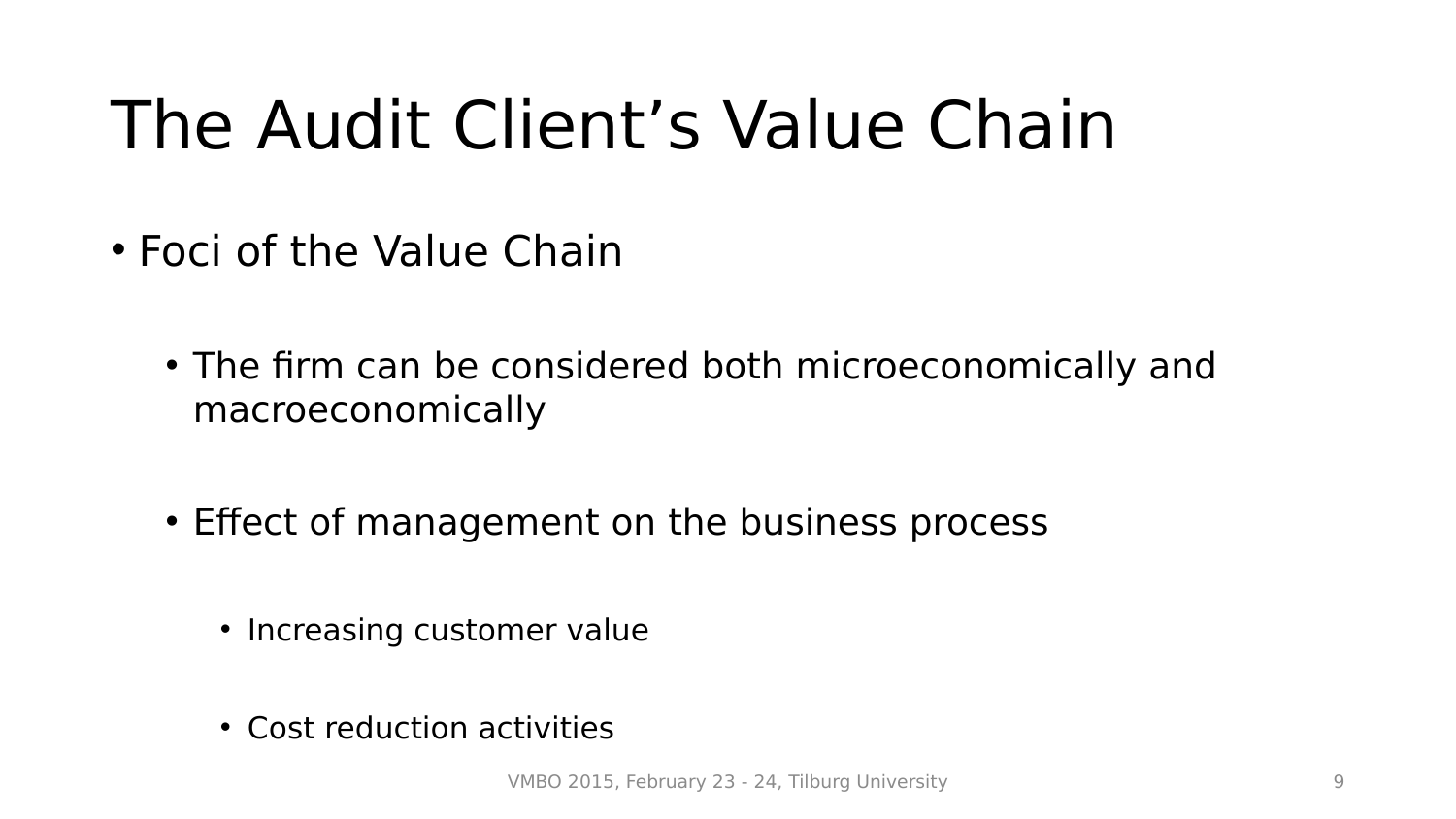- Foci of the Value Chain
	- The firm can be considered both microeconomically and macroeconomically
	- Effect of management on the business process
		- Increasing customer value
		- Cost reduction activities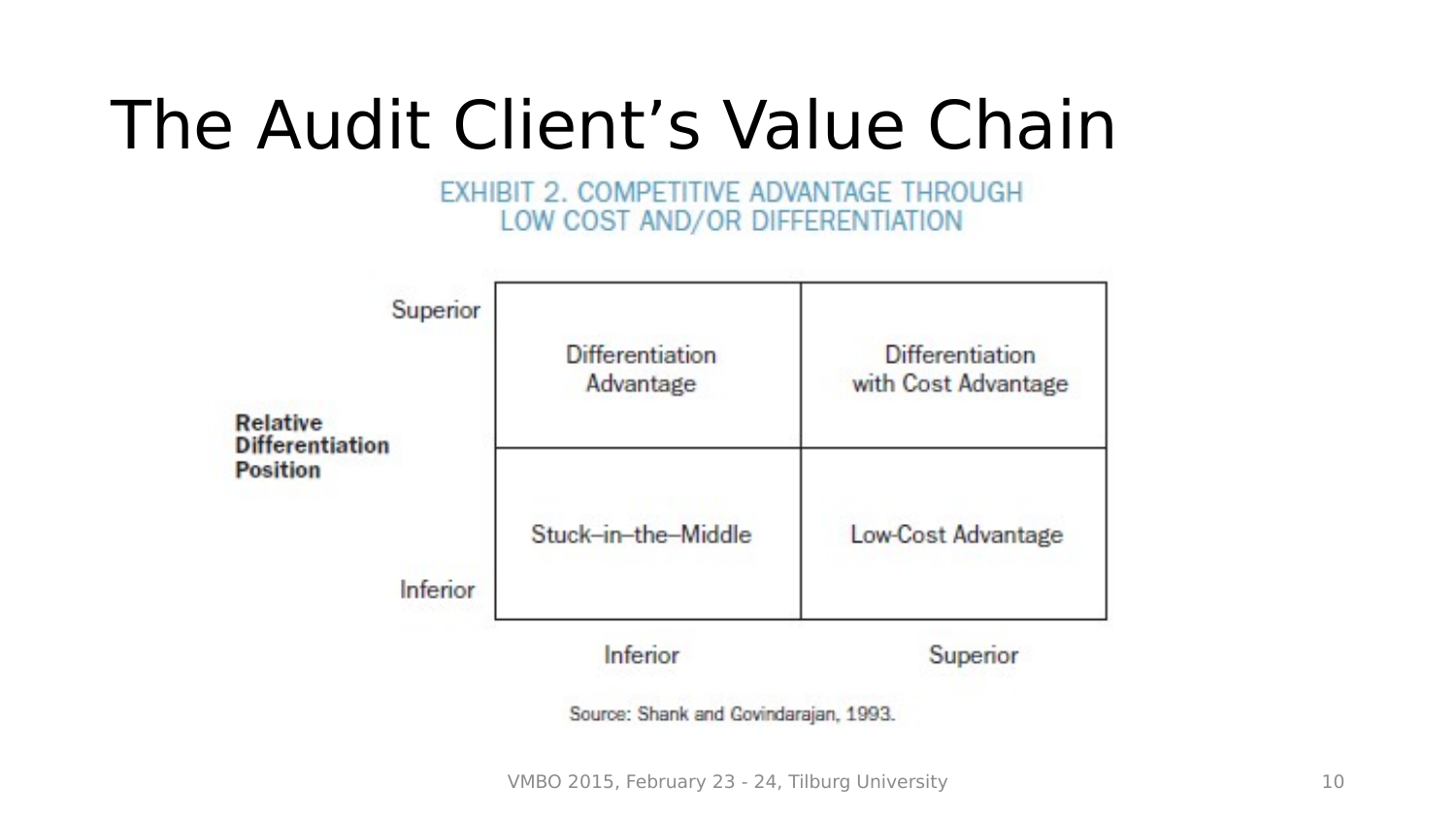EXHIBIT 2. COMPETITIVE ADVANTAGE THROUGH LOW COST AND/OR DIFFERENTIATION



Source: Shank and Govindarajan, 1993.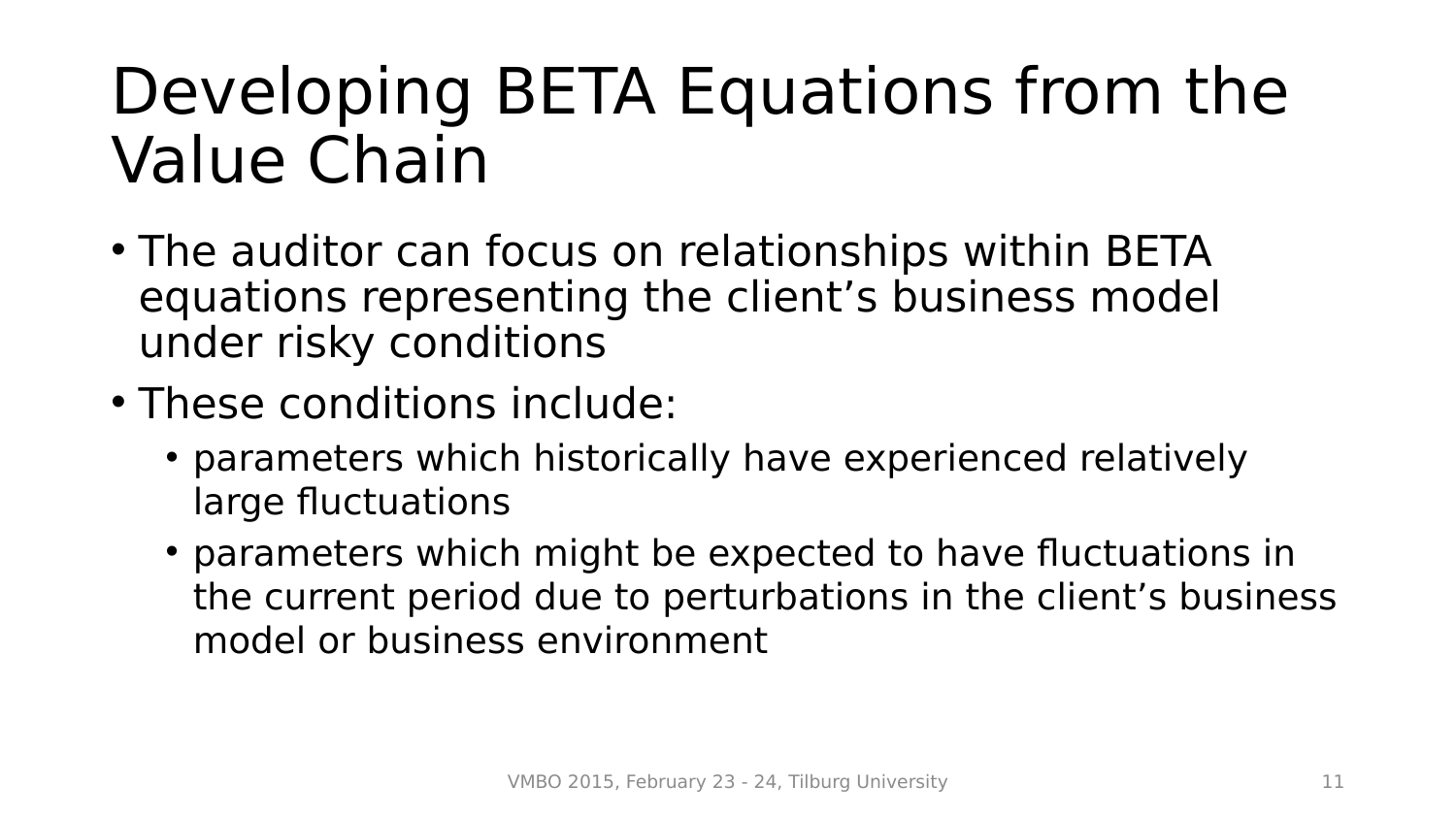#### Developing BETA Equations from the Value Chain

- The auditor can focus on relationships within BETA equations representing the client's business model under risky conditions
- These conditions include:
	- parameters which historically have experienced relatively large fluctuations
	- parameters which might be expected to have fluctuations in the current period due to perturbations in the client's business model or business environment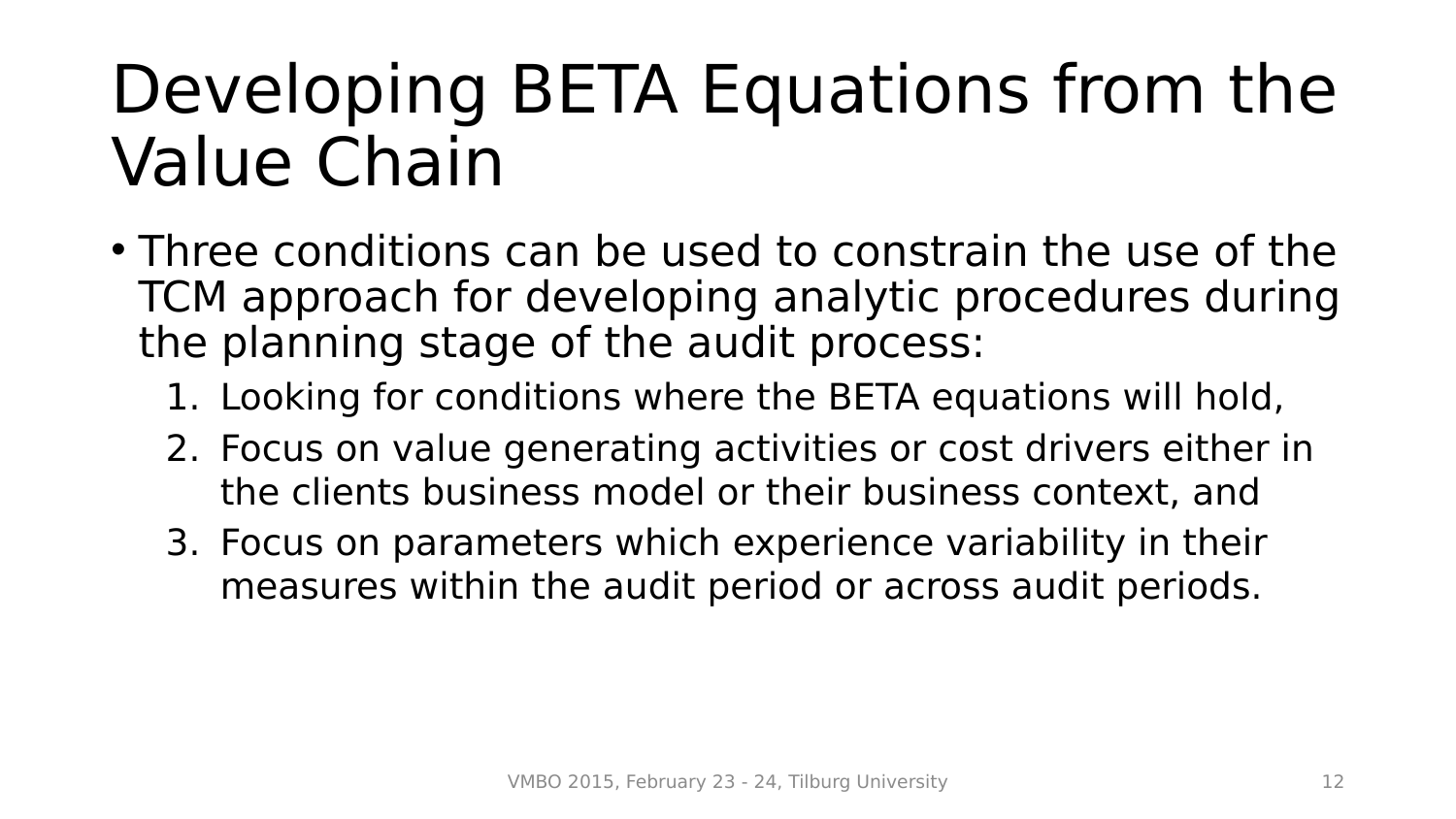## Developing BETA Equations from the Value Chain

- Three conditions can be used to constrain the use of the TCM approach for developing analytic procedures during the planning stage of the audit process:
	- 1. Looking for conditions where the BETA equations will hold,
	- 2. Focus on value generating activities or cost drivers either in the clients business model or their business context, and
	- 3. Focus on parameters which experience variability in their measures within the audit period or across audit periods.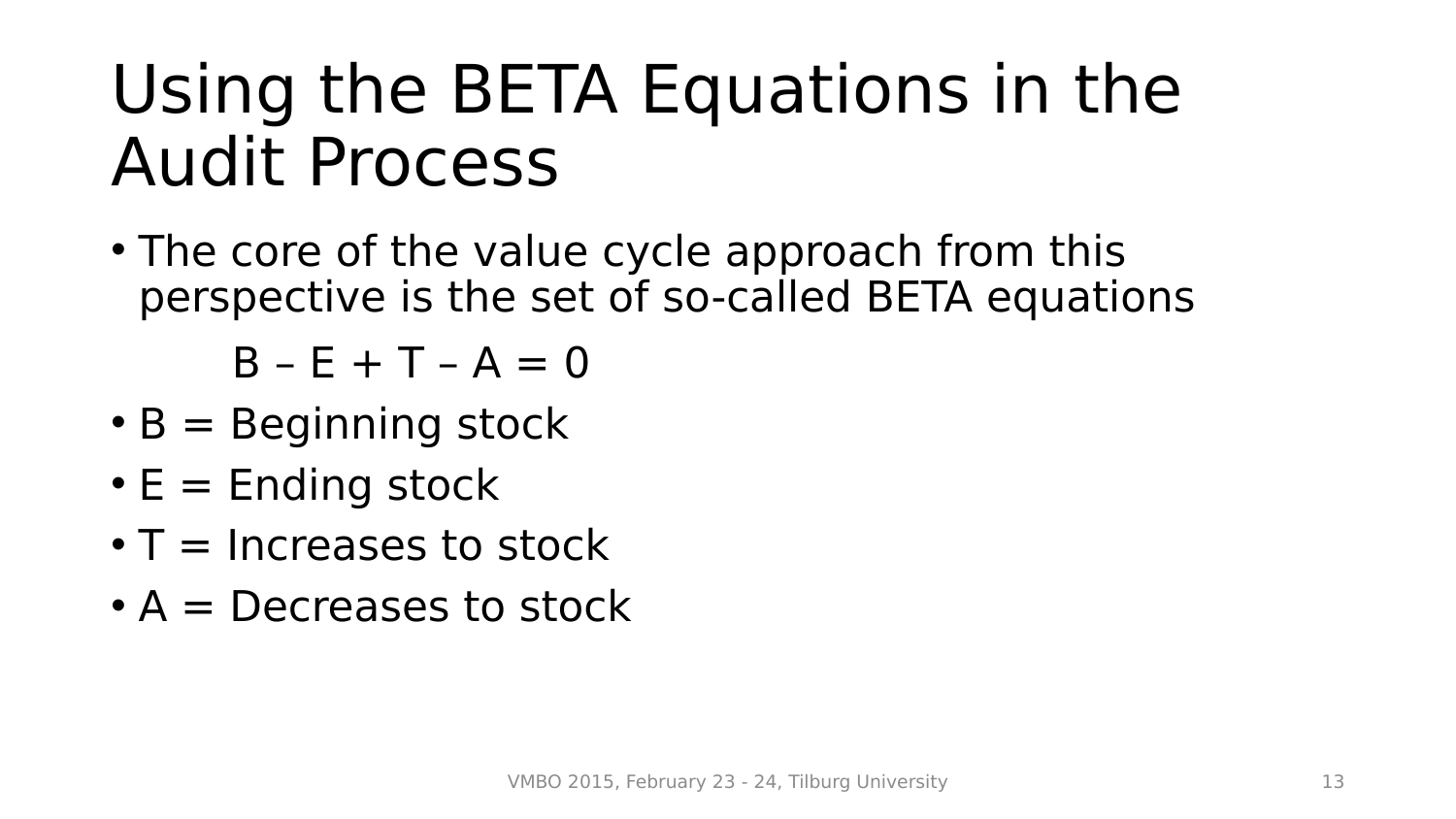• The core of the value cycle approach from this perspective is the set of so-called BETA equations

 $B - E + T - A = 0$ 

- $\cdot$  B = Beginning stock
- $\cdot$  E = Ending stock
- $\cdot$  T = Increases to stock
- $\bullet$  A = Decreases to stock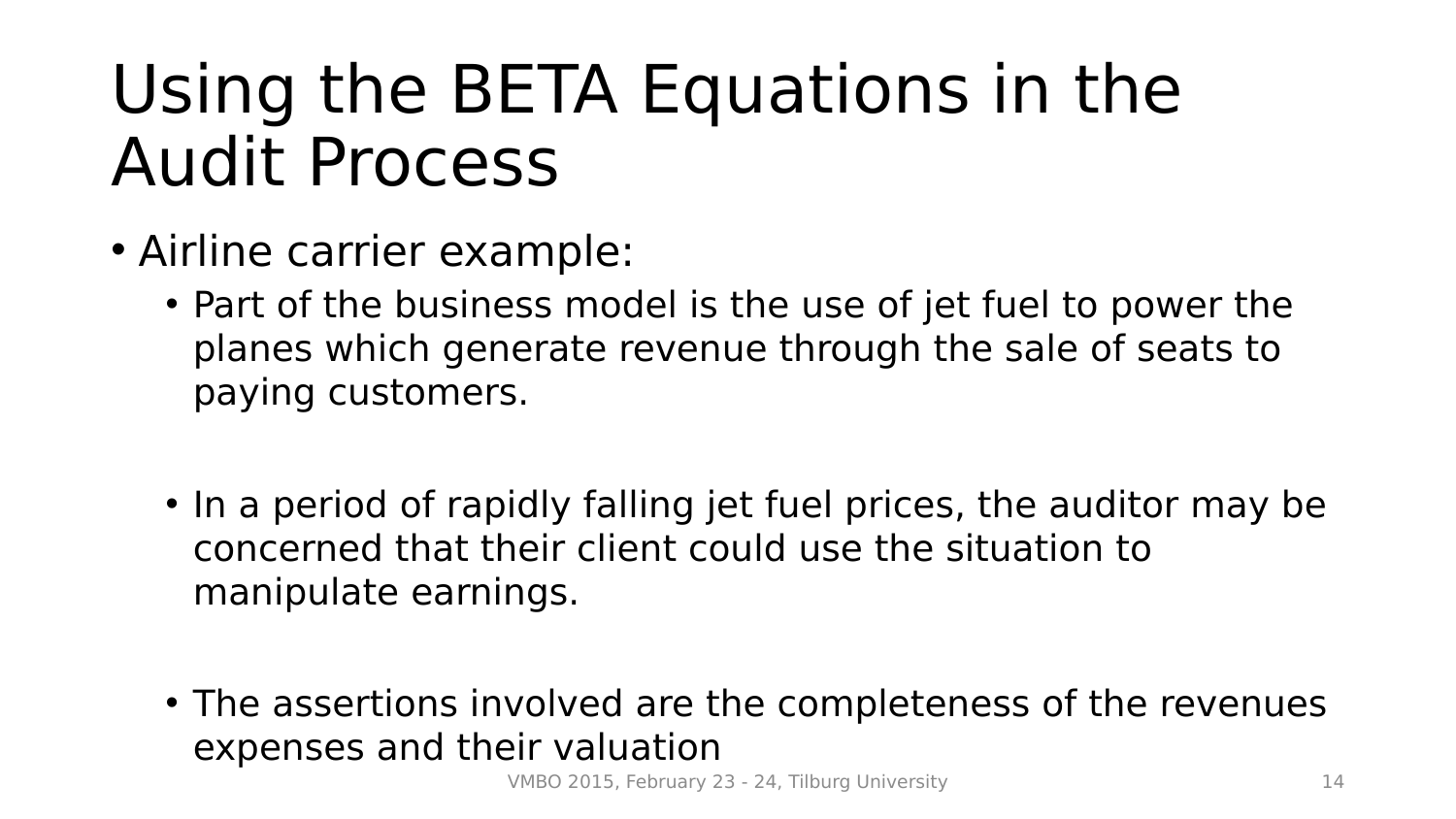- Airline carrier example:
	- Part of the business model is the use of jet fuel to power the planes which generate revenue through the sale of seats to paying customers.
	- In a period of rapidly falling jet fuel prices, the auditor may be concerned that their client could use the situation to manipulate earnings.
	- The assertions involved are the completeness of the revenues expenses and their valuation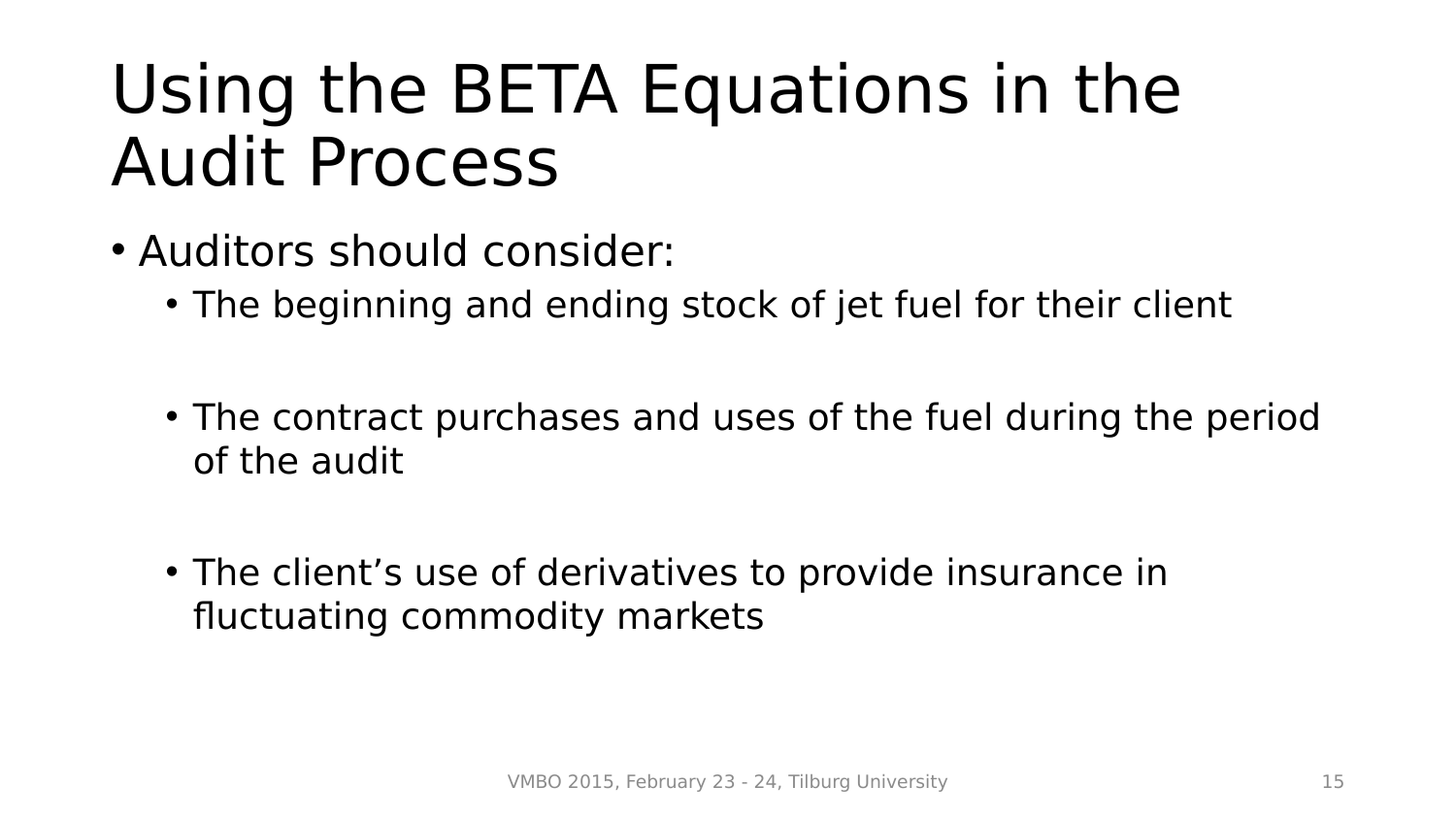- Auditors should consider:
	- The beginning and ending stock of jet fuel for their client
	- The contract purchases and uses of the fuel during the period of the audit
	- The client's use of derivatives to provide insurance in fluctuating commodity markets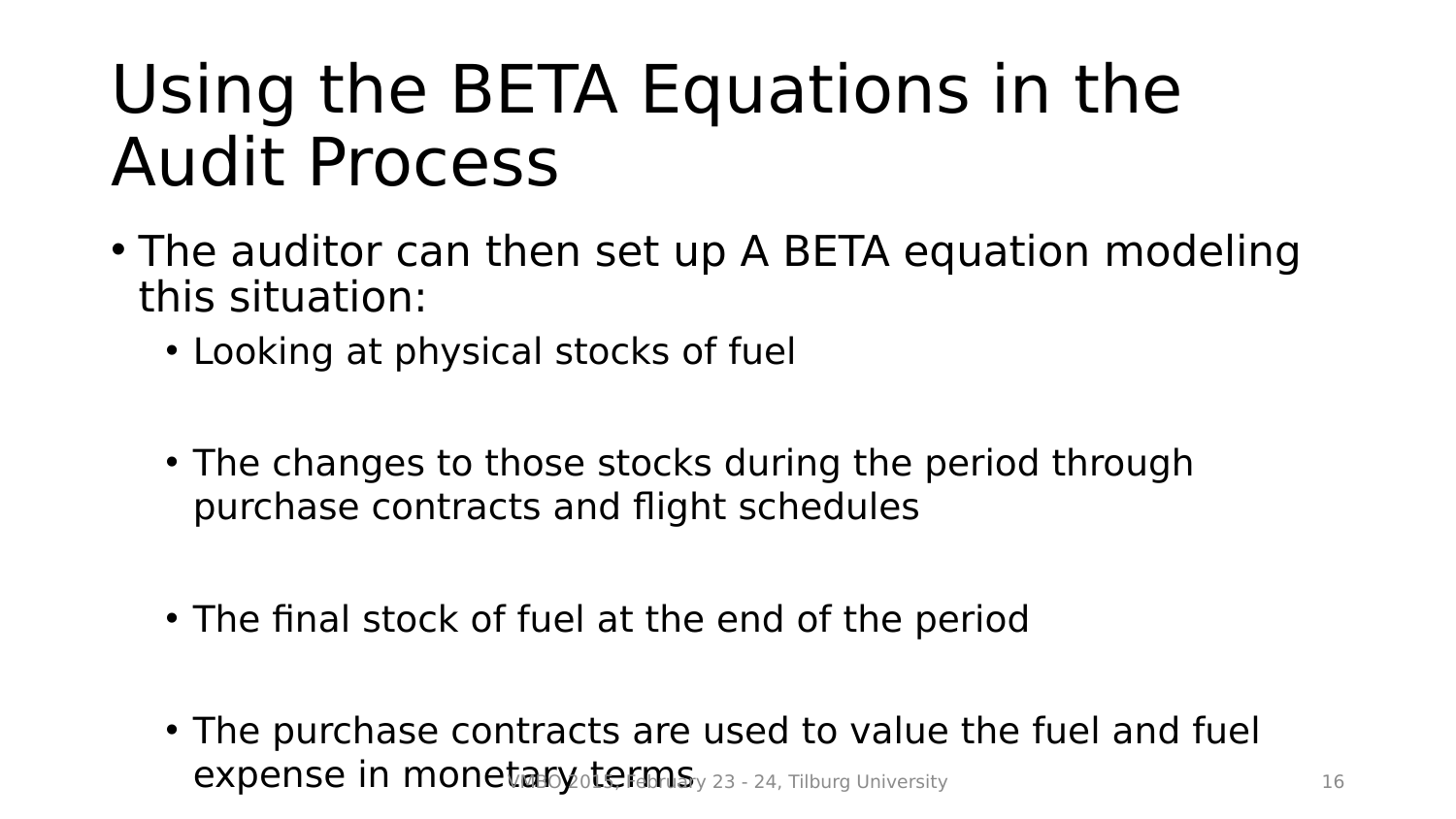- The auditor can then set up A BETA equation modeling this situation:
	- Looking at physical stocks of fuel
	- The changes to those stocks during the period through purchase contracts and flight schedules
	- The final stock of fuel at the end of the period
	- The purchase contracts are used to value the fuel and fuel expense in monetary otermsy 23 - 24, Tilburg University 16 16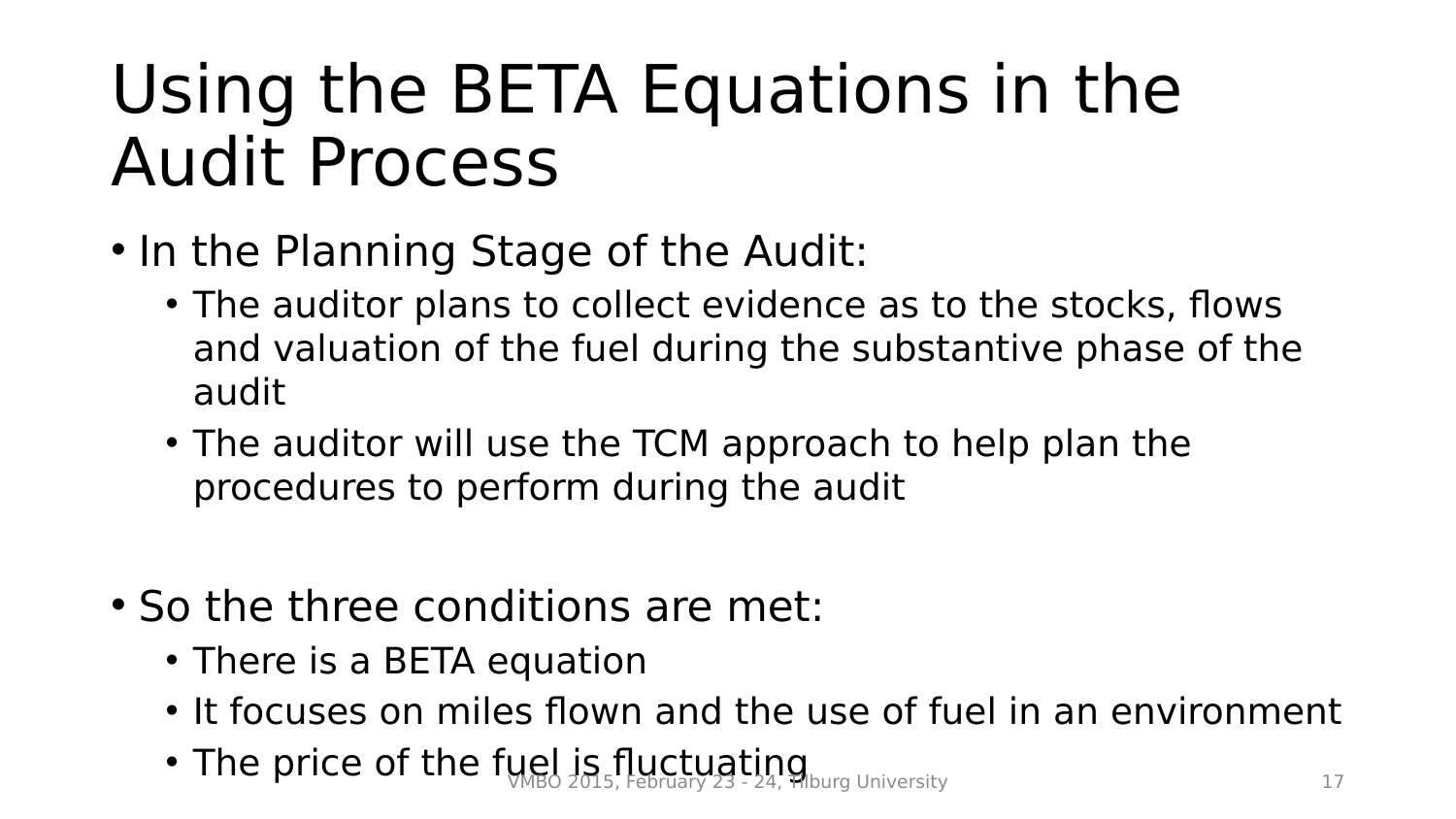- In the Planning Stage of the Audit:
	- The auditor plans to collect evidence as to the stocks, flows and valuation of the fuel during the substantive phase of the audit
	- The auditor will use the TCM approach to help plan the procedures to perform during the audit
- So the three conditions are met:
	- There is a BETA equation
	- It focuses on miles flown and the use of fuel in an environment
	- The price of the fuel is fluctuating University 17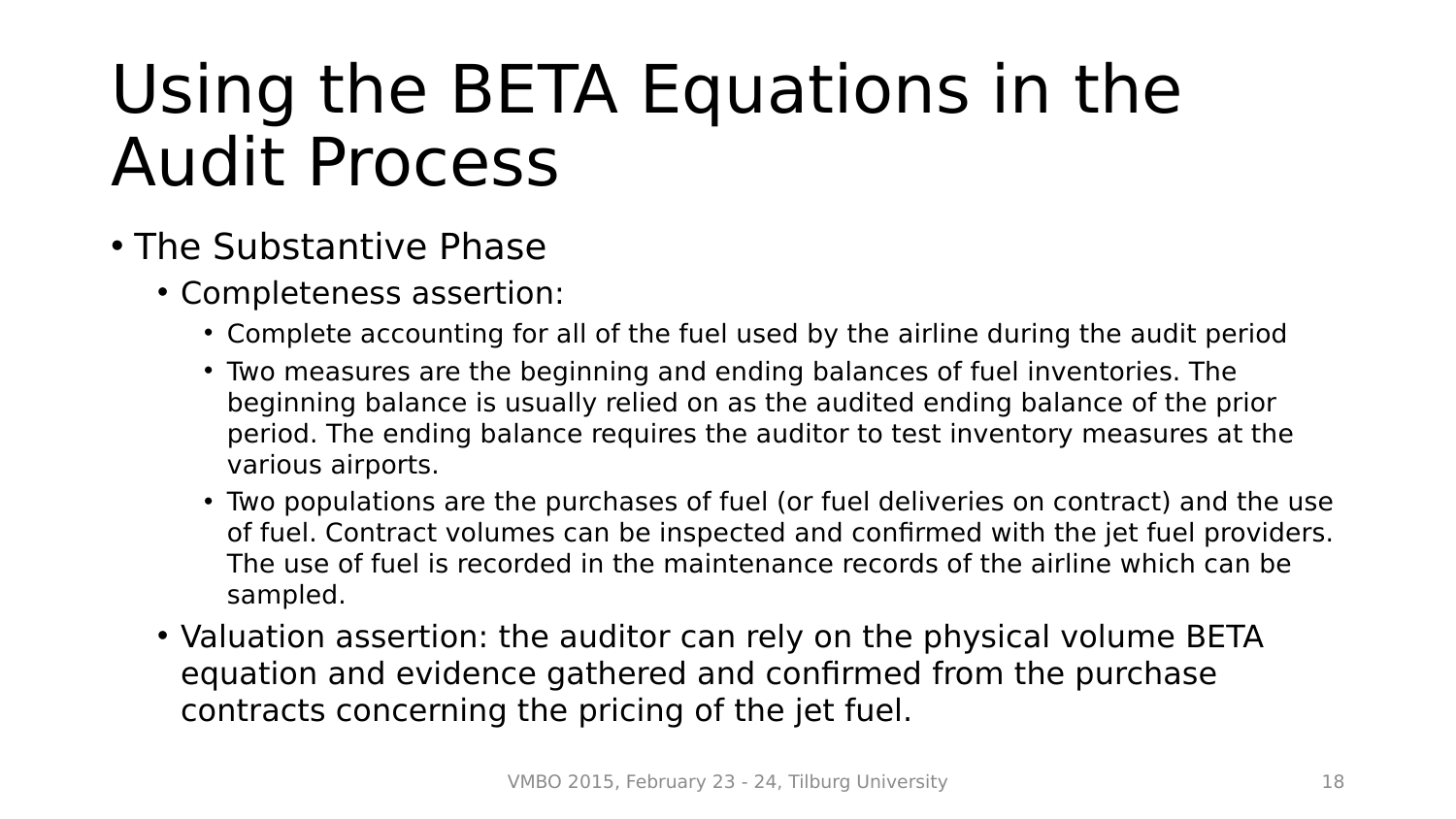- The Substantive Phase
	- Completeness assertion:
		- Complete accounting for all of the fuel used by the airline during the audit period
		- Two measures are the beginning and ending balances of fuel inventories. The beginning balance is usually relied on as the audited ending balance of the prior period. The ending balance requires the auditor to test inventory measures at the various airports.
		- Two populations are the purchases of fuel (or fuel deliveries on contract) and the use of fuel. Contract volumes can be inspected and confirmed with the jet fuel providers. The use of fuel is recorded in the maintenance records of the airline which can be sampled.
	- Valuation assertion: the auditor can rely on the physical volume BETA equation and evidence gathered and confirmed from the purchase contracts concerning the pricing of the jet fuel.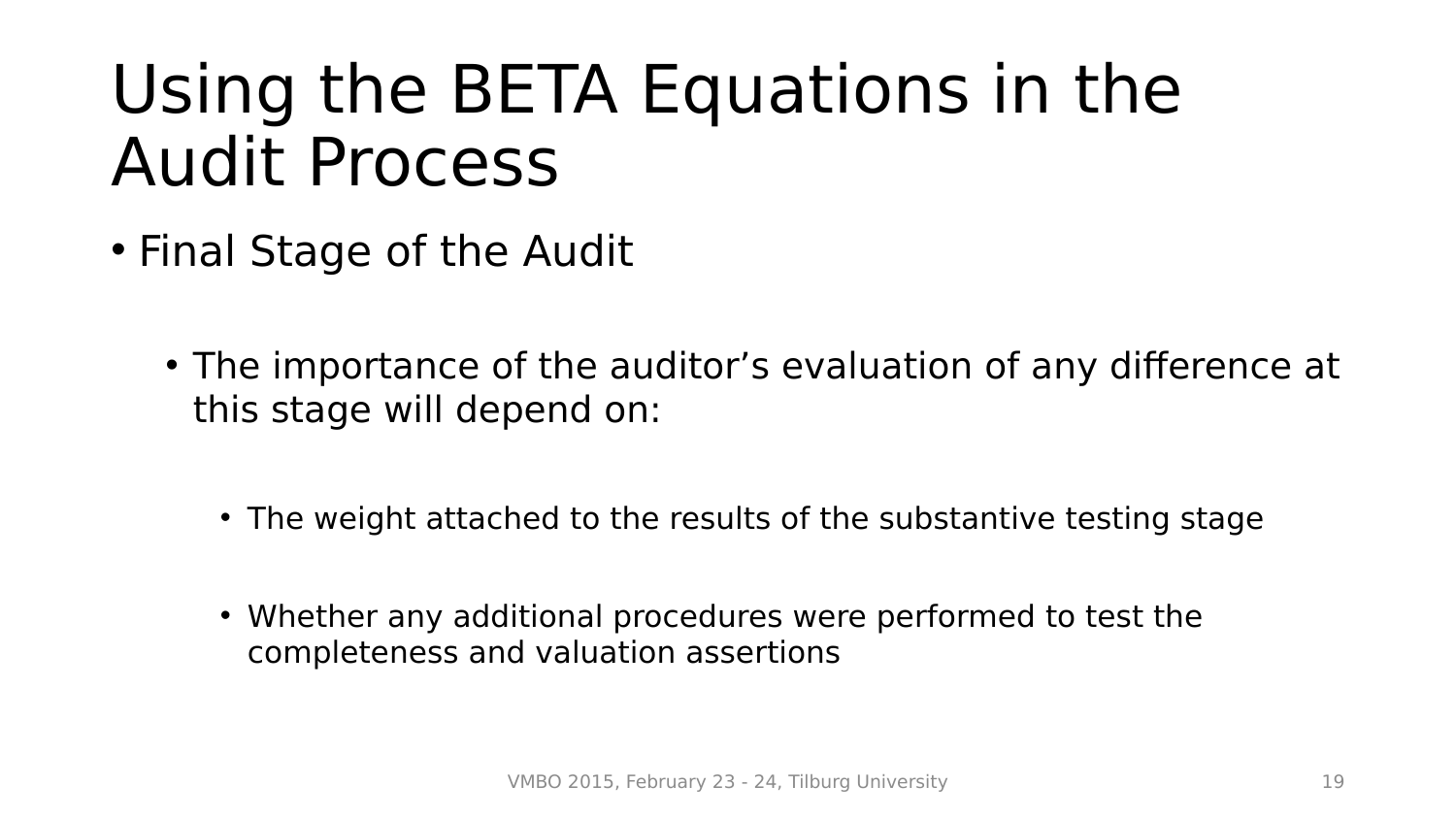- Final Stage of the Audit
	- The importance of the auditor's evaluation of any difference at this stage will depend on:
		- The weight attached to the results of the substantive testing stage
		- Whether any additional procedures were performed to test the completeness and valuation assertions